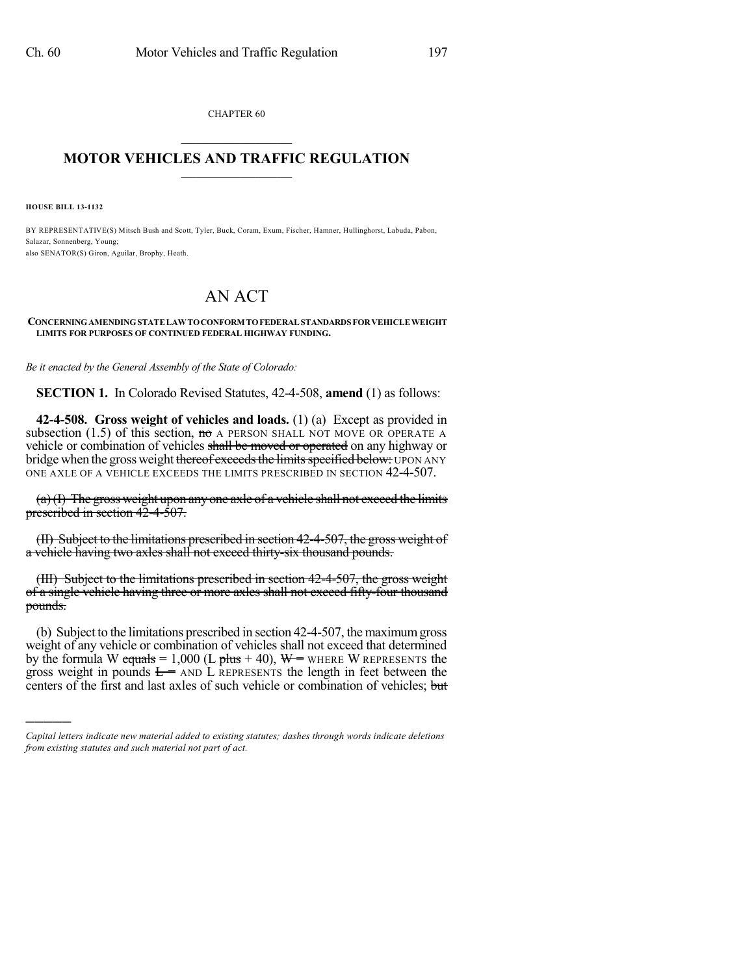CHAPTER 60  $\mathcal{L}_\text{max}$  . The set of the set of the set of the set of the set of the set of the set of the set of the set of the set of the set of the set of the set of the set of the set of the set of the set of the set of the set

## **MOTOR VEHICLES AND TRAFFIC REGULATION**  $\frac{1}{2}$  ,  $\frac{1}{2}$  ,  $\frac{1}{2}$  ,  $\frac{1}{2}$  ,  $\frac{1}{2}$  ,  $\frac{1}{2}$  ,  $\frac{1}{2}$

**HOUSE BILL 13-1132**

)))))

BY REPRESENTATIVE(S) Mitsch Bush and Scott, Tyler, Buck, Coram, Exum, Fischer, Hamner, Hullinghorst, Labuda, Pabon, Salazar, Sonnenberg, Young; also SENATOR(S) Giron, Aguilar, Brophy, Heath.

## AN ACT

## **CONCERNINGAMENDINGSTATELAWTOCONFORM TOFEDERAL STANDARDS FORVEHICLEWEIGHT LIMITS FOR PURPOSES OF CONTINUED FEDERAL HIGHWAY FUNDING.**

*Be it enacted by the General Assembly of the State of Colorado:*

**SECTION 1.** In Colorado Revised Statutes, 42-4-508, **amend** (1) as follows:

**42-4-508. Gross weight of vehicles and loads.** (1) (a) Except as provided in subsection (1.5) of this section,  $m\sigma$  A PERSON SHALL NOT MOVE OR OPERATE A vehicle or combination of vehicles shall be moved or operated on any highway or bridge when the gross weight thereof exceeds the limits specified below: UPON ANY ONE AXLE OF A VEHICLE EXCEEDS THE LIMITS PRESCRIBED IN SECTION 42-4-507.

(a)(I) The gross weight upon any one axle of a vehicle shall not exceed the limits prescribed in section 42-4-507.

(II) Subject to the limitations prescribed in section 42-4-507, the gross weight of a vehicle having two axles shall not exceed thirty-six thousand pounds.

(III) Subject to the limitations prescribed in section 42-4-507, the gross weight of a single vehicle having three or more axles shall not exceed fifty-four thousand pounds.

(b) Subject to the limitations prescribed in section 42-4-507, the maximumgross weight of any vehicle or combination of vehicles shall not exceed that determined by the formula W equals = 1,000 (L plus + 40),  $W =$  WHERE W REPRESENTS the gross weight in pounds  $E =$  AND L REPRESENTS the length in feet between the centers of the first and last axles of such vehicle or combination of vehicles; but

*Capital letters indicate new material added to existing statutes; dashes through words indicate deletions from existing statutes and such material not part of act.*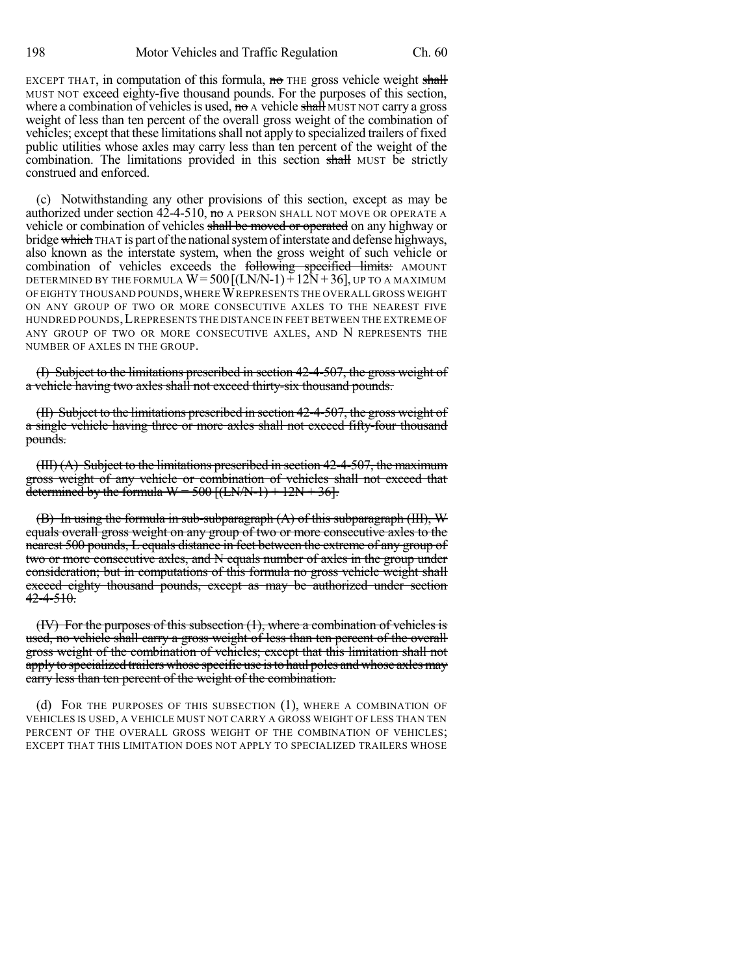EXCEPT THAT, in computation of this formula,  $\theta$  THE gross vehicle weight shall MUST NOT exceed eighty-five thousand pounds. For the purposes of this section, where a combination of vehicles is used, no A vehicle shall MUST NOT carry a gross weight of less than ten percent of the overall gross weight of the combination of vehicles; except that these limitations shall not apply to specialized trailers of fixed public utilities whose axles may carry less than ten percent of the weight of the combination. The limitations provided in this section shall MUST be strictly construed and enforced.

(c) Notwithstanding any other provisions of this section, except as may be authorized under section  $42-4-510$ , no A PERSON SHALL NOT MOVE OR OPERATE A vehicle or combination of vehicles shall be moved or operated on any highway or bridge which THAT is part of the national system of interstate and defense highways, also known as the interstate system, when the gross weight of such vehicle or combination of vehicles exceeds the following specified limits: AMOUNT DETERMINED BY THE FORMULA  $W = 500$   $[(LN/N-1) + 12N + 36]$ , UP TO A MAXIMUM OF EIGHTY THOUSAND POUNDS,WHEREWREPRESENTS THE OVERALL GROSS WEIGHT ON ANY GROUP OF TWO OR MORE CONSECUTIVE AXLES TO THE NEAREST FIVE HUNDRED POUNDS,LREPRESENTS THE DISTANCE IN FEET BETWEEN THE EXTREME OF ANY GROUP OF TWO OR MORE CONSECUTIVE AXLES, AND N REPRESENTS THE NUMBER OF AXLES IN THE GROUP.

(I) Subject to the limitations prescribed in section 42-4-507, the gross weight of a vehicle having two axles shall not exceed thirty-six thousand pounds.

(II) Subject to the limitations prescribed in section 42-4-507, the gross weight of a single vehicle having three or more axles shall not exceed fifty-four thousand pounds.

(III) (A) Subject to the limitations prescribed in section 42-4-507, the maximum gross weight of any vehicle or combination of vehicles shall not exceed that determined by the formula  $W = 500$  [(LN/N-1) + 12N + 36].

(B) In using the formula in sub-subparagraph (A) of this subparagraph (III), W equals overall gross weight on any group of two or more consecutive axles to the nearest 500 pounds, L equals distance in feet between the extreme of any group of two or more consecutive axles, and N equals number of axles in the group under consideration; but in computations of this formula no gross vehicle weight shall exceed eighty thousand pounds, except as may be authorized under section  $42 - 4 - 510$ .

(IV) For the purposes of this subsection (1), where a combination of vehicles is used, no vehicle shall carry a gross weight of less than ten percent of the overall gross weight of the combination of vehicles; except that this limitation shall not applyto specialized trailers whose specific use isto haul poles and whose axlesmay carry less than ten percent of the weight of the combination.

(d) FOR THE PURPOSES OF THIS SUBSECTION (1), WHERE A COMBINATION OF VEHICLES IS USED, A VEHICLE MUST NOT CARRY A GROSS WEIGHT OF LESS THAN TEN PERCENT OF THE OVERALL GROSS WEIGHT OF THE COMBINATION OF VEHICLES; EXCEPT THAT THIS LIMITATION DOES NOT APPLY TO SPECIALIZED TRAILERS WHOSE